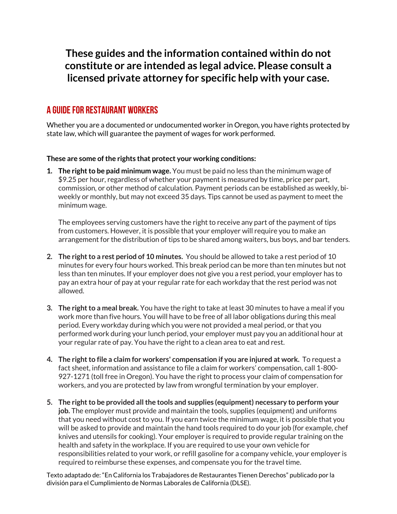## **These guides and the information contained within do not constitute or are intended as legal advice. Please consult a licensed private attorney for specific help with your case.**

## A Guide for restaurant workers

Whether you are a documented or undocumented worker in Oregon, you have rights protected by state law, which will guarantee the payment of wages for work performed.

## **These are some of the rights that protect your working conditions:**

**1. The right to be paid minimum wage.** You must be paid no less than the minimum wage of \$9.25 per hour, regardless of whether your payment is measured by time, price per part, commission, or other method of calculation. Payment periods can be established as weekly, biweekly or monthly, but may not exceed 35 days. Tips cannot be used as payment to meet the minimum wage.

The employees serving customers have the right to receive any part of the payment of tips from customers. However, it is possible that your employer will require you to make an arrangement for the distribution of tips to be shared among waiters, bus boys, and bar tenders.

- **2. The right to a rest period of 10 minutes.** You should be allowed to take a rest period of 10 minutes for every four hours worked. This break period can be more than ten minutes but not less than ten minutes. If your employer does not give you a rest period, your employer has to pay an extra hour of pay at your regular rate for each workday that the rest period was not allowed.
- **3. The right to a meal break.** You have the right to take at least 30 minutes to have a meal if you work more than five hours. You will have to be free of all labor obligations during this meal period. Every workday during which you were not provided a meal period, or that you performed work during your lunch period, your employer must pay you an additional hour at your regular rate of pay. You have the right to a clean area to eat and rest.
- **4. The right to file a claim for workers' compensation if you are injured at work.** To request a fact sheet, information and assistance to file a claim for workers' compensation, call 1-800- 927-1271 (toll free in Oregon). You have the right to process your claim of compensation for workers, and you are protected by law from wrongful termination by your employer.
- **5. The right to be provided all the tools and supplies (equipment) necessary to perform your job.** The employer must provide and maintain the tools, supplies (equipment) and uniforms that you need without cost to you. If you earn twice the minimum wage, it is possible that you will be asked to provide and maintain the hand tools required to do your job (for example, chef knives and utensils for cooking). Your employer is required to provide regular training on the health and safety in the workplace. If you are required to use your own vehicle for responsibilities related to your work, or refill gasoline for a company vehicle, your employer is required to reimburse these expenses, and compensate you for the travel time.

Texto adaptado de: "En California los Trabajadores de Restaurantes Tienen Derechos" publicado por la división para el Cumplimiento de Normas Laborales de California (DLSE).